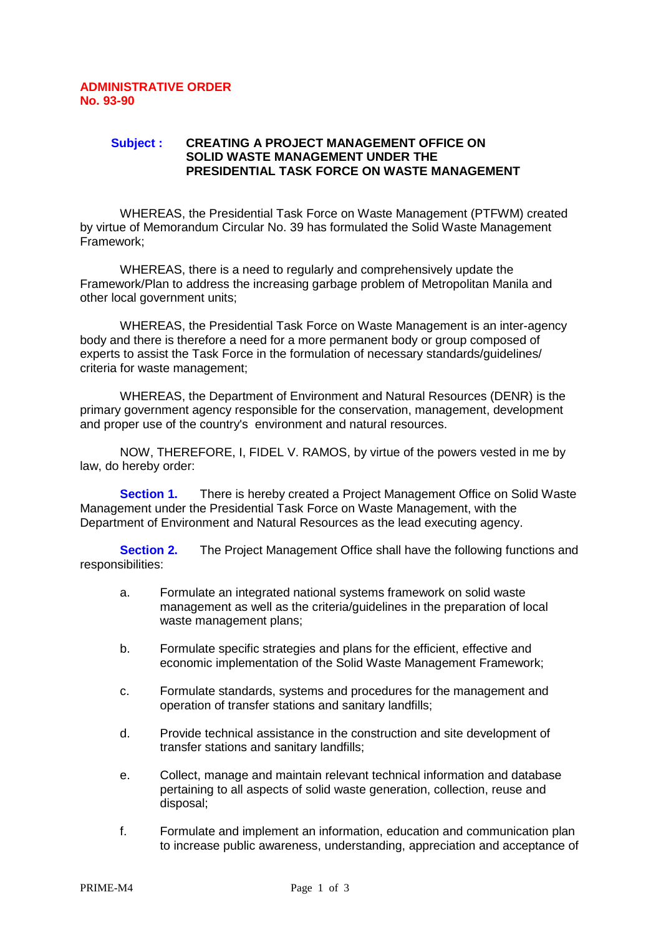## **Subject : CREATING A PROJECT MANAGEMENT OFFICE ON SOLID WASTE MANAGEMENT UNDER THE PRESIDENTIAL TASK FORCE ON WASTE MANAGEMENT**

 WHEREAS, the Presidential Task Force on Waste Management (PTFWM) created by virtue of Memorandum Circular No. 39 has formulated the Solid Waste Management Framework;

 WHEREAS, there is a need to regularly and comprehensively update the Framework/Plan to address the increasing garbage problem of Metropolitan Manila and other local government units;

 WHEREAS, the Presidential Task Force on Waste Management is an inter-agency body and there is therefore a need for a more permanent body or group composed of experts to assist the Task Force in the formulation of necessary standards/guidelines/ criteria for waste management;

 WHEREAS, the Department of Environment and Natural Resources (DENR) is the primary government agency responsible for the conservation, management, development and proper use of the country's environment and natural resources.

 NOW, THEREFORE, I, FIDEL V. RAMOS, by virtue of the powers vested in me by law, do hereby order:

**Section 1.** There is hereby created a Project Management Office on Solid Waste Management under the Presidential Task Force on Waste Management, with the Department of Environment and Natural Resources as the lead executing agency.

**Section 2.** The Project Management Office shall have the following functions and responsibilities:

- a. Formulate an integrated national systems framework on solid waste management as well as the criteria/guidelines in the preparation of local waste management plans;
- b. Formulate specific strategies and plans for the efficient, effective and economic implementation of the Solid Waste Management Framework;
- c. Formulate standards, systems and procedures for the management and operation of transfer stations and sanitary landfills;
- d. Provide technical assistance in the construction and site development of transfer stations and sanitary landfills;
- e. Collect, manage and maintain relevant technical information and database pertaining to all aspects of solid waste generation, collection, reuse and disposal;
- f. Formulate and implement an information, education and communication plan to increase public awareness, understanding, appreciation and acceptance of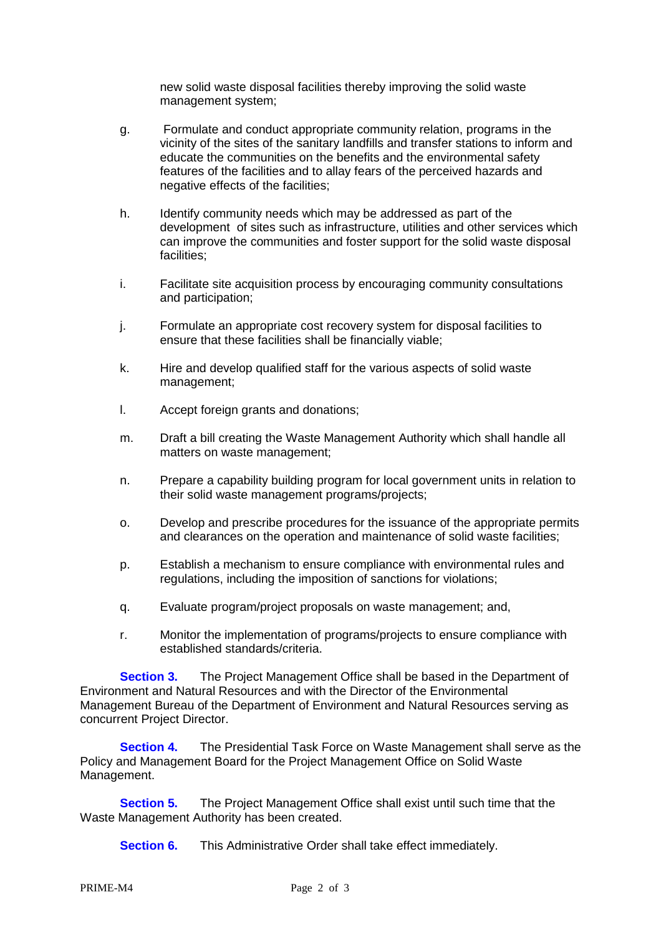new solid waste disposal facilities thereby improving the solid waste management system;

- g. Formulate and conduct appropriate community relation, programs in the vicinity of the sites of the sanitary landfills and transfer stations to inform and educate the communities on the benefits and the environmental safety features of the facilities and to allay fears of the perceived hazards and negative effects of the facilities;
- h. Identify community needs which may be addressed as part of the development of sites such as infrastructure, utilities and other services which can improve the communities and foster support for the solid waste disposal facilities;
- i. Facilitate site acquisition process by encouraging community consultations and participation;
- j. Formulate an appropriate cost recovery system for disposal facilities to ensure that these facilities shall be financially viable;
- k. Hire and develop qualified staff for the various aspects of solid waste management;
- l. Accept foreign grants and donations;
- m. Draft a bill creating the Waste Management Authority which shall handle all matters on waste management;
- n. Prepare a capability building program for local government units in relation to their solid waste management programs/projects;
- o. Develop and prescribe procedures for the issuance of the appropriate permits and clearances on the operation and maintenance of solid waste facilities;
- p. Establish a mechanism to ensure compliance with environmental rules and regulations, including the imposition of sanctions for violations;
- q. Evaluate program/project proposals on waste management; and,
- r. Monitor the implementation of programs/projects to ensure compliance with established standards/criteria.

**Section 3.** The Project Management Office shall be based in the Department of Environment and Natural Resources and with the Director of the Environmental Management Bureau of the Department of Environment and Natural Resources serving as concurrent Project Director.

**Section 4.** The Presidential Task Force on Waste Management shall serve as the Policy and Management Board for the Project Management Office on Solid Waste Management.

**Section 5.** The Project Management Office shall exist until such time that the Waste Management Authority has been created.

**Section 6.** This Administrative Order shall take effect immediately.